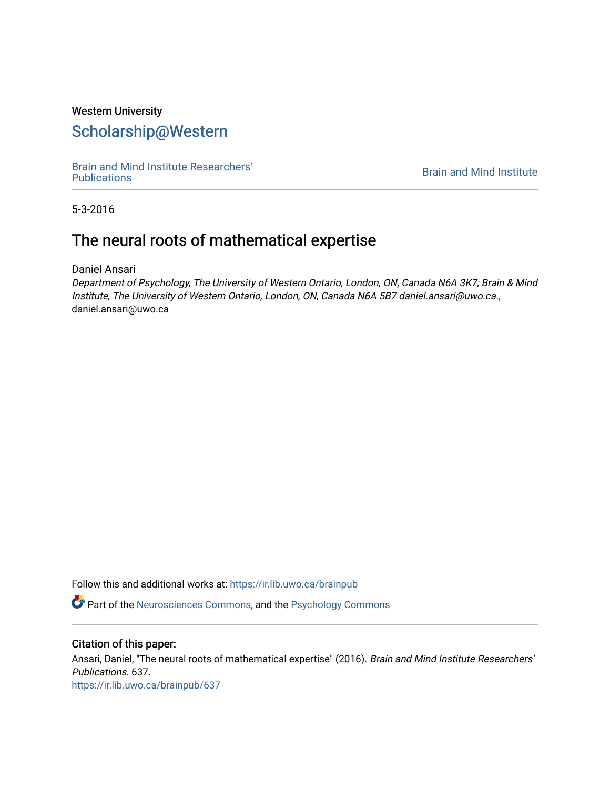# Western University [Scholarship@Western](https://ir.lib.uwo.ca/)

[Brain and Mind Institute Researchers'](https://ir.lib.uwo.ca/brainpub) 

**Brain and Mind Institute** 

5-3-2016

# The neural roots of mathematical expertise

Daniel Ansari

Department of Psychology, The University of Western Ontario, London, ON, Canada N6A 3K7; Brain & Mind Institute, The University of Western Ontario, London, ON, Canada N6A 5B7 daniel.ansari@uwo.ca., daniel.ansari@uwo.ca

Follow this and additional works at: [https://ir.lib.uwo.ca/brainpub](https://ir.lib.uwo.ca/brainpub?utm_source=ir.lib.uwo.ca%2Fbrainpub%2F637&utm_medium=PDF&utm_campaign=PDFCoverPages)

Part of the [Neurosciences Commons](http://network.bepress.com/hgg/discipline/1010?utm_source=ir.lib.uwo.ca%2Fbrainpub%2F637&utm_medium=PDF&utm_campaign=PDFCoverPages), and the [Psychology Commons](http://network.bepress.com/hgg/discipline/404?utm_source=ir.lib.uwo.ca%2Fbrainpub%2F637&utm_medium=PDF&utm_campaign=PDFCoverPages) 

## Citation of this paper:

Ansari, Daniel, "The neural roots of mathematical expertise" (2016). Brain and Mind Institute Researchers' Publications. 637. [https://ir.lib.uwo.ca/brainpub/637](https://ir.lib.uwo.ca/brainpub/637?utm_source=ir.lib.uwo.ca%2Fbrainpub%2F637&utm_medium=PDF&utm_campaign=PDFCoverPages)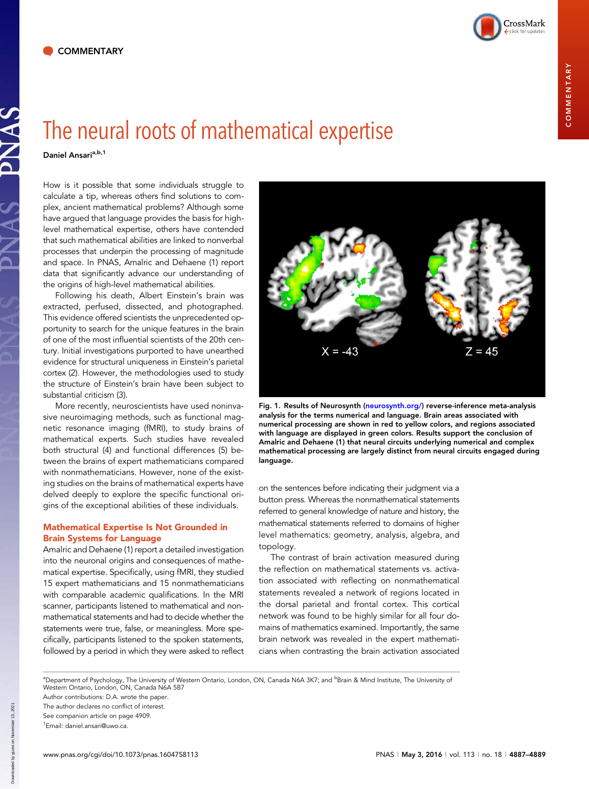

# The neural roots of mathematical expertise

Daniel Ansari<sup>a,b,1</sup>

How is it possible that some individuals struggle to calculate a tip, whereas others find solutions to complex, ancient mathematical problems? Although some have argued that language provides the basis for highlevel mathematical expertise, others have contended that such mathematical abilities are linked to nonverbal processes that underpin the processing of magnitude and space. In PNAS, Amalric and Dehaene (1) report data that significantly advance our understanding of the origins of high-level mathematical abilities.

Following his death, Albert Einstein's brain was extracted, perfused, dissected, and photographed. This evidence offered scientists the unprecedented opportunity to search for the unique features in the brain of one of the most influential scientists of the 20th century. Initial investigations purported to have unearthed evidence for structural uniqueness in Einstein's parietal cortex (2). However, the methodologies used to study the structure of Einstein's brain have been subject to substantial criticism (3).

More recently, neuroscientists have used noninvasive neuroimaging methods, such as functional magnetic resonance imaging (fMRI), to study brains of mathematical experts. Such studies have revealed both structural (4) and functional differences (5) between the brains of expert mathematicians compared with nonmathematicians. However, none of the existing studies on the brains of mathematical experts have delved deeply to explore the specific functional origins of the exceptional abilities of these individuals.

## Mathematical Expertise Is Not Grounded in Brain Systems for Language

Amalric and Dehaene (1) report a detailed investigation into the neuronal origins and consequences of mathematical expertise. Specifically, using fMRI, they studied 15 expert mathematicians and 15 nonmathematicians with comparable academic qualifications. In the MRI scanner, participants listened to mathematical and nonmathematical statements and had to decide whether the statements were true, false, or meaningless. More specifically, participants listened to the spoken statements, followed by a period in which they were asked to reflect



Fig. 1. Results of Neurosynth [\(neurosynth.org/](http://neurosynth.org/)) reverse-inference meta-analysis analysis for the terms numerical and language. Brain areas associated with numerical processing are shown in red to yellow colors, and regions associated with language are displayed in green colors. Results support the conclusion of Amalric and Dehaene (1) that neural circuits underlying numerical and complex mathematical processing are largely distinct from neural circuits engaged during language.

on the sentences before indicating their judgment via a button press. Whereas the nonmathematical statements referred to general knowledge of nature and history, the mathematical statements referred to domains of higher level mathematics: geometry, analysis, algebra, and topology.

The contrast of brain activation measured during the reflection on mathematical statements vs. activation associated with reflecting on nonmathematical statements revealed a network of regions located in the dorsal parietal and frontal cortex. This cortical network was found to be highly similar for all four domains of mathematics examined. Importantly, the same brain network was revealed in the expert mathematicians when contrasting the brain activation associated

<sup>a</sup>Department of Psychology, The University of Western Ontario, London, ON, Canada N6A 3K7; and <sup>b</sup>Brain & Mind Institute, The University of Western Ontario, London, ON, Canada N6A 5B7

Author contributions: D.A. wrote the paper.

The author declares no conflict of interest. See companion article on page 4909. 1 Email: [daniel.ansari@uwo.ca.](mailto:daniel.ansari@uwo.ca)

Down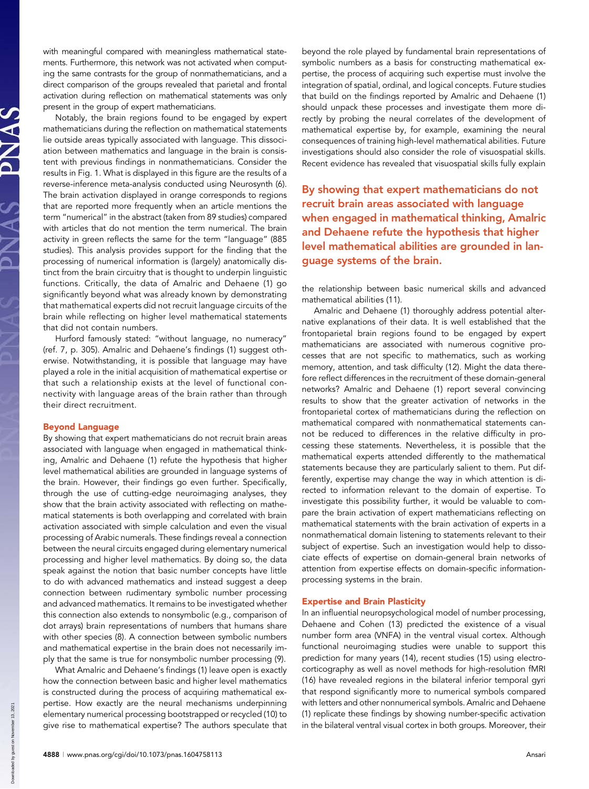with meaningful compared with meaningless mathematical statements. Furthermore, this network was not activated when computing the same contrasts for the group of nonmathematicians, and a direct comparison of the groups revealed that parietal and frontal activation during reflection on mathematical statements was only present in the group of expert mathematicians.

Notably, the brain regions found to be engaged by expert mathematicians during the reflection on mathematical statements lie outside areas typically associated with language. This dissociation between mathematics and language in the brain is consistent with previous findings in nonmathematicians. Consider the results in Fig. 1. What is displayed in this figure are the results of a reverse-inference meta-analysis conducted using Neurosynth (6). The brain activation displayed in orange corresponds to regions that are reported more frequently when an article mentions the term "numerical" in the abstract (taken from 89 studies) compared with articles that do not mention the term numerical. The brain activity in green reflects the same for the term "language" (885 studies). This analysis provides support for the finding that the processing of numerical information is (largely) anatomically distinct from the brain circuitry that is thought to underpin linguistic functions. Critically, the data of Amalric and Dehaene (1) go significantly beyond what was already known by demonstrating that mathematical experts did not recruit language circuits of the brain while reflecting on higher level mathematical statements that did not contain numbers.

Hurford famously stated: "without language, no numeracy" (ref. 7, p. 305). Amalric and Dehaene's findings (1) suggest otherwise. Notwithstanding, it is possible that language may have played a role in the initial acquisition of mathematical expertise or that such a relationship exists at the level of functional connectivity with language areas of the brain rather than through their direct recruitment.

### Beyond Language

By showing that expert mathematicians do not recruit brain areas associated with language when engaged in mathematical thinking, Amalric and Dehaene (1) refute the hypothesis that higher level mathematical abilities are grounded in language systems of the brain. However, their findings go even further. Specifically, through the use of cutting-edge neuroimaging analyses, they show that the brain activity associated with reflecting on mathematical statements is both overlapping and correlated with brain activation associated with simple calculation and even the visual processing of Arabic numerals. These findings reveal a connection between the neural circuits engaged during elementary numerical processing and higher level mathematics. By doing so, the data speak against the notion that basic number concepts have little to do with advanced mathematics and instead suggest a deep connection between rudimentary symbolic number processing and advanced mathematics. It remains to be investigated whether this connection also extends to nonsymbolic (e.g., comparison of dot arrays) brain representations of numbers that humans share with other species (8). A connection between symbolic numbers and mathematical expertise in the brain does not necessarily imply that the same is true for nonsymbolic number processing (9).

What Amalric and Dehaene's findings (1) leave open is exactly how the connection between basic and higher level mathematics is constructed during the process of acquiring mathematical expertise. How exactly are the neural mechanisms underpinning elementary numerical processing bootstrapped or recycled (10) to give rise to mathematical expertise? The authors speculate that beyond the role played by fundamental brain representations of symbolic numbers as a basis for constructing mathematical expertise, the process of acquiring such expertise must involve the integration of spatial, ordinal, and logical concepts. Future studies that build on the findings reported by Amalric and Dehaene (1) should unpack these processes and investigate them more directly by probing the neural correlates of the development of mathematical expertise by, for example, examining the neural consequences of training high-level mathematical abilities. Future investigations should also consider the role of visuospatial skills. Recent evidence has revealed that visuospatial skills fully explain

By showing that expert mathematicians do not recruit brain areas associated with language when engaged in mathematical thinking, Amalric and Dehaene refute the hypothesis that higher level mathematical abilities are grounded in language systems of the brain.

the relationship between basic numerical skills and advanced mathematical abilities (11).

Amalric and Dehaene (1) thoroughly address potential alternative explanations of their data. It is well established that the frontoparietal brain regions found to be engaged by expert mathematicians are associated with numerous cognitive processes that are not specific to mathematics, such as working memory, attention, and task difficulty (12). Might the data therefore reflect differences in the recruitment of these domain-general networks? Amalric and Dehaene (1) report several convincing results to show that the greater activation of networks in the frontoparietal cortex of mathematicians during the reflection on mathematical compared with nonmathematical statements cannot be reduced to differences in the relative difficulty in processing these statements. Nevertheless, it is possible that the mathematical experts attended differently to the mathematical statements because they are particularly salient to them. Put differently, expertise may change the way in which attention is directed to information relevant to the domain of expertise. To investigate this possibility further, it would be valuable to compare the brain activation of expert mathematicians reflecting on mathematical statements with the brain activation of experts in a nonmathematical domain listening to statements relevant to their subject of expertise. Such an investigation would help to dissociate effects of expertise on domain-general brain networks of attention from expertise effects on domain-specific informationprocessing systems in the brain.

#### Expertise and Brain Plasticity

In an influential neuropsychological model of number processing, Dehaene and Cohen (13) predicted the existence of a visual number form area (VNFA) in the ventral visual cortex. Although functional neuroimaging studies were unable to support this prediction for many years (14), recent studies (15) using electrocorticography as well as novel methods for high-resolution fMRI (16) have revealed regions in the bilateral inferior temporal gyri that respond significantly more to numerical symbols compared with letters and other nonnumerical symbols. Amalric and Dehaene (1) replicate these findings by showing number-specific activation in the bilateral ventral visual cortex in both groups. Moreover, their